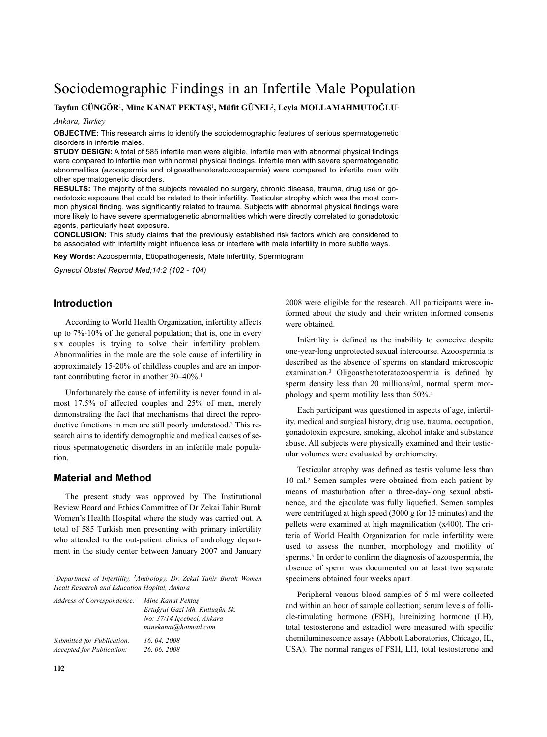# Sociodemographic Findings in an Infertile Male Population

## **Tayfun GÜNGÖR**1**, Mine KANAT PEKTAŞ**1**, Müfit GÜNEL**2**, Leyla MOLLAMAHMUTOĞLU**<sup>1</sup>

#### *Ankara, Turkey*

**OBJECTIVE:** This research aims to identify the sociodemographic features of serious spermatogenetic disorders in infertile males.

**STUDY DESIGN:** A total of 585 infertile men were eligible. Infertile men with abnormal physical findings were compared to infertile men with normal physical findings. Infertile men with severe spermatogenetic abnormalities (azoospermia and oligoasthenoteratozoospermia) were compared to infertile men with other spermatogenetic disorders.

**RESULTS:** The majority of the subjects revealed no surgery, chronic disease, trauma, drug use or gonadotoxic exposure that could be related to their infertility. Testicular atrophy which was the most common physical finding, was significantly related to trauma. Subjects with abnormal physical findings were more likely to have severe spermatogenetic abnormalities which were directly correlated to gonadotoxic agents, particularly heat exposure.

**CONCLUSION:** This study claims that the previously established risk factors which are considered to be associated with infertility might influence less or interfere with male infertility in more subtle ways.

**Key Words:** Azoospermia, Etiopathogenesis, Male infertility, Spermiogram

*Gynecol Obstet Reprod Med;14:2 (102 - 104)*

## **Introduction**

According to World Health Organization, infertility affects up to 7%-10% of the general population; that is, one in every six couples is trying to solve their infertility problem. Abnormalities in the male are the sole cause of infertility in approximately 15-20% of childless couples and are an important contributing factor in another 30–40%. 1

Unfortunately the cause of infertility is never found in almost 17.5% of affected couples and 25% of men, merely demonstrating the fact that mechanisms that direct the reproductive functions in men are still poorly understood. <sup>2</sup> This research aims to identify demographic and medical causes of serious spermatogenetic disorders in an infertile male population.

#### **Material and Method**

The present study was approved by The Institutional Review Board and Ethics Committee of Dr Zekai Tahir Burak Women's Health Hospital where the study was carried out. A total of 585 Turkish men presenting with primary infertility who attended to the out-patient clinics of andrology department in the study center between January 2007 and January

<sup>1</sup>*Department of Infertility,* <sup>2</sup>*Andrology, Dr. Zekai Tahir Burak Women Healt Research and Education Hopital, Ankara*

| Address of Correspondence: | Mine Kanat Pektas<br>Ertuğrul Gazi Mh. Kutlugün Sk.<br>No: 37/14 İçcebeci, Ankara<br>minekanat@hotmail.com |
|----------------------------|------------------------------------------------------------------------------------------------------------|
| Submitted for Publication: | 16, 04, 2008                                                                                               |
| Accepted for Publication:  | 26, 06, 2008                                                                                               |

2008 were eligible for the research. All participants were informed about the study and their written informed consents were obtained.

Infertility is defined as the inability to conceive despite one-year-long unprotected sexual intercourse. Azoospermia is described as the absence of sperms on standard microscopic examination. <sup>3</sup> Oligoasthenoteratozoospermia is defined by sperm density less than 20 millions/ml, normal sperm morphology and sperm motility less than 50%. 4

Each participant was questioned in aspects of age, infertility, medical and surgical history, drug use, trauma, occupation, gonadotoxin exposure, smoking, alcohol intake and substance abuse. All subjects were physically examined and their testicular volumes were evaluated by orchiometry.

Testicular atrophy was defined as testis volume less than 10 ml. <sup>2</sup> Semen samples were obtained from each patient by means of masturbation after a three-day-long sexual abstinence, and the ejaculate was fully liquefied. Semen samples were centrifuged at high speed (3000 g for 15 minutes) and the pellets were examined at high magnification (x400). The criteria of World Health Organization for male infertility were used to assess the number, morphology and motility of sperms. <sup>5</sup> In order to confirm the diagnosis of azoospermia, the absence of sperm was documented on at least two separate specimens obtained four weeks apart.

Peripheral venous blood samples of 5 ml were collected and within an hour of sample collection; serum levels of follicle-timulating hormone (FSH), luteinizing hormone (LH), total testosterone and estradiol were measured with specific chemiluminescence assays (Abbott Laboratories, Chicago, IL, USA). The normal ranges of FSH, LH, total testosterone and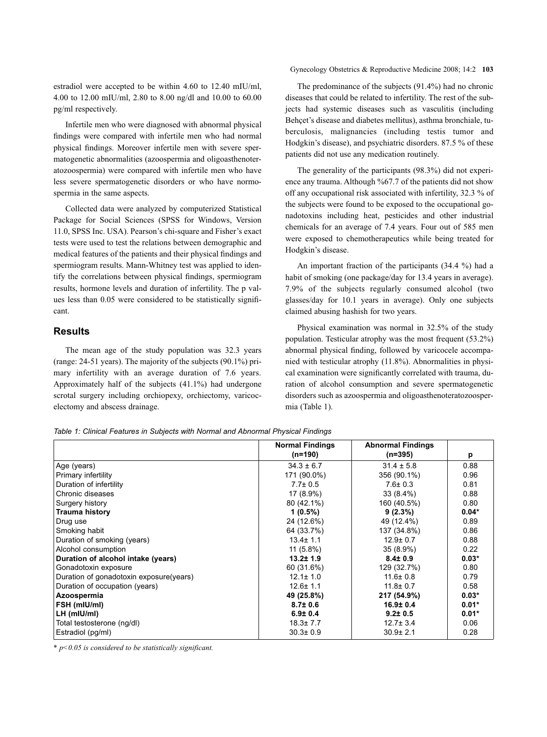estradiol were accepted to be within 4.60 to 12.40 mIU/ml, 4.00 to 12.00 mIU/ml, 2.80 to 8.00 ng/dl and 10.00 to 60.00 pg/ml respectively.

Infertile men who were diagnosed with abnormal physical findings were compared with infertile men who had normal physical findings. Moreover infertile men with severe spermatogenetic abnormalities (azoospermia and oligoasthenoteratozoospermia) were compared with infertile men who have less severe spermatogenetic disorders or who have normospermia in the same aspects.

Collected data were analyzed by computerized Statistical Package for Social Sciences (SPSS for Windows, Version 11.0, SPSS Inc. USA). Pearson's chi-square and Fisher's exact tests were used to test the relations between demographic and medical features of the patients and their physical findings and spermiogram results. Mann-Whitney test was applied to identify the correlations between physical findings, spermiogram results, hormone levels and duration of infertility. The p values less than 0.05 were considered to be statistically significant.

## **Results**

The mean age of the study population was 32.3 years (range: 24-51 years). The majority of the subjects (90.1%) primary infertility with an average duration of 7.6 years. Approximately half of the subjects (41.1%) had undergone scrotal surgery including orchiopexy, orchiectomy, varicocelectomy and abscess drainage.

#### Gynecology Obstetrics & Reproductive Medicine 2008; 14:2 **103**

The predominance of the subjects (91.4%) had no chronic diseases that could be related to infertility. The rest of the subjects had systemic diseases such as vasculitis (including Behçet's disease and diabetes mellitus), asthma bronchiale, tuberculosis, malignancies (including testis tumor and Hodgkin's disease), and psychiatric disorders. 87.5 % of these patients did not use any medication routinely.

The generality of the participants (98.3%) did not experience any trauma. Although %67.7 of the patients did not show off any occupational risk associated with infertility, 32.3 % of the subjects were found to be exposed to the occupational gonadotoxins including heat, pesticides and other industrial chemicals for an average of 7.4 years. Four out of 585 men were exposed to chemotherapeutics while being treated for Hodgkin's disease.

An important fraction of the participants (34.4 %) had a habit of smoking (one package/day for 13.4 years in average). 7.9% of the subjects regularly consumed alcohol (two glasses/day for 10.1 years in average). Only one subjects claimed abusing hashish for two years.

Physical examination was normal in 32.5% of the study population. Testicular atrophy was the most frequent (53.2%) abnormal physical finding, followed by varicocele accompanied with testicular atrophy (11.8%). Abnormalities in physical examination were significantly correlated with trauma, duration of alcohol consumption and severe spermatogenetic disorders such as azoospermia and oligoasthenoteratozoospermia (Table 1).

*Table 1: Clinical Features in Subjects with Normal and Abnormal Physical Findings*

|                                         | <b>Normal Findings</b> | <b>Abnormal Findings</b> |         |
|-----------------------------------------|------------------------|--------------------------|---------|
|                                         | $(n=190)$              | $(n=395)$                | р       |
| Age (years)                             | $34.3 \pm 6.7$         | $31.4 \pm 5.8$           | 0.88    |
| Primary infertility                     | 171 (90.0%)            | 356 (90.1%)              | 0.96    |
| Duration of infertility                 | $7.7 \pm 0.5$          | $7.6 \pm 0.3$            | 0.81    |
| Chronic diseases                        | 17 (8.9%)              | $33(8.4\%)$              | 0.88    |
| Surgery history                         | 80 (42.1%)             | 160 (40.5%)              | 0.80    |
| Trauma history                          | $1(0.5\%)$             | $9(2.3\%)$               | $0.04*$ |
| Drug use                                | 24 (12.6%)             | 49 (12.4%)               | 0.89    |
| Smoking habit                           | 64 (33.7%)             | 137 (34.8%)              | 0.86    |
| Duration of smoking (years)             | $13.4 \pm 1.1$         | $12.9 \pm 0.7$           | 0.88    |
| Alcohol consumption                     | $11(5.8\%)$            | $35(8.9\%)$              | 0.22    |
| Duration of alcohol intake (years)      | $13.2 \pm 1.9$         | $8.4 \pm 0.9$            | $0.03*$ |
| Gonadotoxin exposure                    | 60 (31.6%)             | 129 (32.7%)              | 0.80    |
| Duration of gonadotoxin exposure(years) | $12.1 \pm 1.0$         | $11.6 \pm 0.8$           | 0.79    |
| Duration of occupation (years)          | $12.6 \pm 1.1$         | $11.8 \pm 0.7$           | 0.58    |
| Azoospermia                             | 49 (25.8%)             | 217 (54.9%)              | $0.03*$ |
| FSH (mIU/mI)                            | $8.7 \pm 0.6$          | $16.9 \pm 0.4$           | $0.01*$ |
| $LH$ (mIU/mI)                           | $6.9 \pm 0.4$          | $9.2 \pm 0.5$            | $0.01*$ |
| Total testosterone (ng/dl)              | $18.3 \pm 7.7$         | $12.7 \pm 3.4$           | 0.06    |
| Estradiol (pg/ml)                       | $30.3 \pm 0.9$         | $30.9 + 2.1$             | 0.28    |

*\* p<0.05 is considered to be statistically significant.*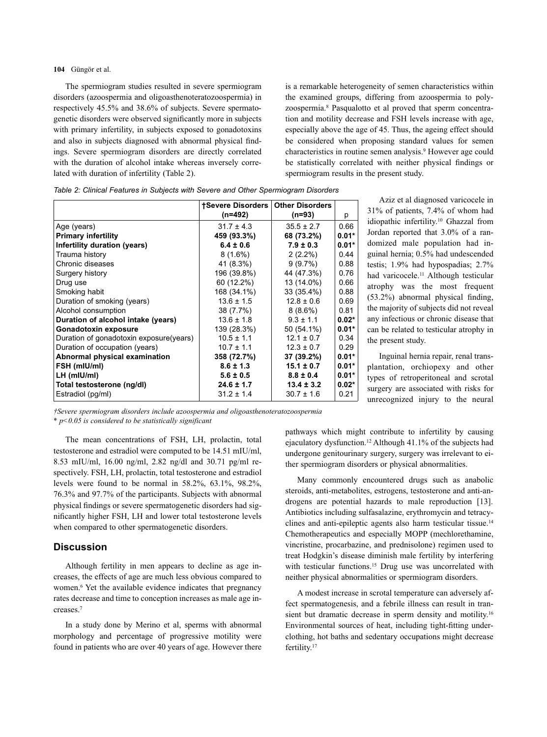**104** Güngör et al.

The spermiogram studies resulted in severe spermiogram disorders (azoospermia and oligoasthenoteratozoospermia) in respectively 45.5% and 38.6% of subjects. Severe spermatogenetic disorders were observed significantly more in subjects with primary infertility, in subjects exposed to gonadotoxins and also in subjects diagnosed with abnormal physical findings. Severe spermiogram disorders are directly correlated with the duration of alcohol intake whereas inversely correlated with duration of infertility (Table 2).

is a remarkable heterogeneity of semen characteristics within the examined groups, differing from azoospermia to polyzoospermia. <sup>8</sup> Pasqualotto et al proved that sperm concentration and motility decrease and FSH levels increase with age, especially above the age of 45. Thus, the ageing effect should be considered when proposing standard values for semen characteristics in routine semen analysis. <sup>9</sup> However age could be statistically correlated with neither physical findings or spermiogram results in the present study.

|                                         | <b>tSevere Disorders</b> | <b>Other Disorders</b> |         |
|-----------------------------------------|--------------------------|------------------------|---------|
|                                         | (n=492)                  | $(n=93)$               | р       |
| Age (years)                             | $31.7 \pm 4.3$           | $35.5 \pm 2.7$         | 0.66    |
| <b>Primary infertility</b>              | 459 (93.3%)              | 68 (73.2%)             | $0.01*$ |
| Infertility duration (years)            | $6.4 \pm 0.6$            | $7.9 \pm 0.3$          | $0.01*$ |
| Trauma history                          | $8(1.6\%)$               | $2(2.2\%)$             | 0.44    |
| Chronic diseases                        | 41 (8.3%)                | 9(9.7%)                | 0.88    |
| Surgery history                         | 196 (39.8%)              | 44 (47.3%)             | 0.76    |
| Drug use                                | 60 (12.2%)               | 13 (14.0%)             | 0.66    |
| Smoking habit                           | 168 (34.1%)              | 33 (35.4%)             | 0.88    |
| Duration of smoking (years)             | $13.6 \pm 1.5$           | $12.8 \pm 0.6$         | 0.69    |
| Alcohol consumption                     | 38 (7.7%)                | $8(8.6\%)$             | 0.81    |
| Duration of alcohol intake (years)      | $13.6 \pm 1.8$           | $9.3 \pm 1.1$          | $0.02*$ |
| Gonadotoxin exposure                    | 139 (28.3%)              | 50 (54.1%)             | $0.01*$ |
| Duration of gonadotoxin exposure(years) | $10.5 \pm 1.1$           | $12.1 \pm 0.7$         | 0.34    |
| Duration of occupation (years)          | $10.7 \pm 1.1$           | $12.3 \pm 0.7$         | 0.29    |
| Abnormal physical examination           | 358 (72.7%)              | 37 (39.2%)             | $0.01*$ |
| FSH (mIU/mI)                            | $8.6 \pm 1.3$            | $15.1 \pm 0.7$         | $0.01*$ |
| LH (mIU/mI)                             | $5.6 \pm 0.5$            | $8.8 \pm 0.4$          | $0.01*$ |
| Total testosterone (ng/dl)              | $24.6 \pm 1.7$           | $13.4 \pm 3.2$         | $0.02*$ |
| Estradiol (pg/ml)                       | $31.2 \pm 1.4$           | $30.7 \pm 1.6$         | 0.21    |

*Table 2: Clinical Features in Subjects with Severe and Other Spermiogram Disorders*

Aziz et al diagnosed varicocele in 31% of patients, 7.4% of whom had idiopathic infertility. <sup>10</sup> Ghazzal from Jordan reported that 3.0% of a randomized male population had inguinal hernia; 0.5% had undescended testis; 1.9% had hypospadias; 2.7% had varicocele. <sup>11</sup> Although testicular atrophy was the most frequent (53.2%) abnormal physical finding, the majority of subjects did not reveal any infectious or chronic disease that can be related to testicular atrophy in the present study.

Inguinal hernia repair, renal transplantation, orchiopexy and other types of retroperitoneal and scrotal surgery are associated with risks for unrecognized injury to the neural

*†Severe spermiogram disorders include azoospermia and oligoasthenoteratozoospermia*

*\* p<0.05 is considered to be statistically significant*

The mean concentrations of FSH, LH, prolactin, total testosterone and estradiol were computed to be 14.51 mIU/ml, 8.53 mIU/ml, 16.00 ng/ml, 2.82 ng/dl and 30.71 pg/ml respectively. FSH, LH, prolactin, total testosterone and estradiol levels were found to be normal in 58.2%, 63.1%, 98.2%, 76.3% and 97.7% of the participants. Subjects with abnormal physical findings or severe spermatogenetic disorders had significantly higher FSH, LH and lower total testosterone levels when compared to other spermatogenetic disorders.

#### **Discussion**

Although fertility in men appears to decline as age increases, the effects of age are much less obvious compared to women. <sup>6</sup> Yet the available evidence indicates that pregnancy rates decrease and time to conception increases as male age increases. 7

In a study done by Merino et al, sperms with abnormal morphology and percentage of progressive motility were found in patients who are over 40 years of age. However there

pathways which might contribute to infertility by causing ejaculatory dysfunction. <sup>12</sup> Although 41.1% of the subjects had undergone genitourinary surgery, surgery was irrelevant to either spermiogram disorders or physical abnormalities.

Many commonly encountered drugs such as anabolic steroids, anti-metabolites, estrogens, testosterone and anti-androgens are potential hazards to male reproduction [13]. Antibiotics including sulfasalazine, erythromycin and tetracyclines and anti-epileptic agents also harm testicular tissue. 14 Chemotherapeutics and especially MOPP (mechlorethamine, vincristine, procarbazine, and prednisolone) regimen used to treat Hodgkin's disease diminish male fertility by interfering with testicular functions. <sup>15</sup> Drug use was uncorrelated with neither physical abnormalities or spermiogram disorders.

A modest increase in scrotal temperature can adversely affect spermatogenesis, and a febrile illness can result in transient but dramatic decrease in sperm density and motility.<sup>16</sup> Environmental sources of heat, including tight-fitting underclothing, hot baths and sedentary occupations might decrease fertility.<sup>17</sup>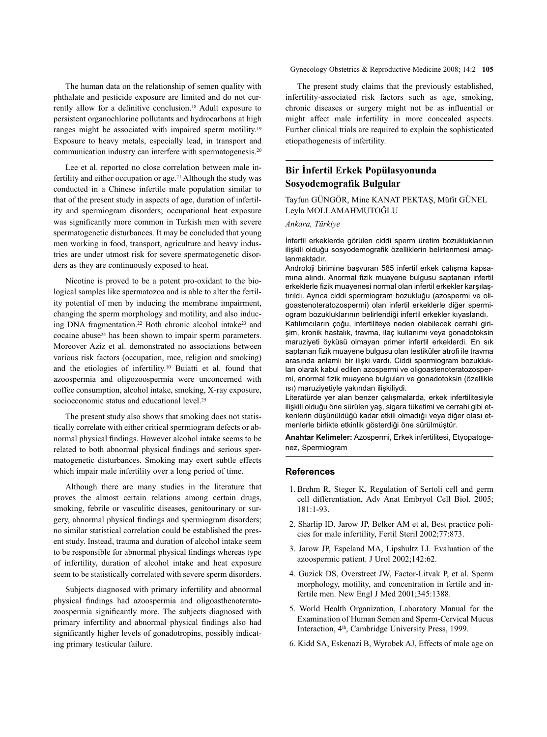The human data on the relationship of semen quality with phthalate and pesticide exposure are limited and do not currently allow for a definitive conclusion. <sup>18</sup> Adult exposure to persistent organochlorine pollutants and hydrocarbons at high ranges might be associated with impaired sperm motility.<sup>19</sup> Exposure to heavy metals, especially lead, in transport and communication industry can interfere with spermatogenesis. 20

Lee et al. reported no close correlation between male infertility and either occupation or age. <sup>21</sup> Although the study was conducted in a Chinese infertile male population similar to that of the present study in aspects of age, duration of infertility and spermiogram disorders; occupational heat exposure was significantly more common in Turkish men with severe spermatogenetic disturbances. It may be concluded that young men working in food, transport, agriculture and heavy industries are under utmost risk for severe spermatogenetic disorders as they are continuously exposed to heat.

Nicotine is proved to be a potent pro-oxidant to the biological samples like spermatozoa and is able to alter the fertility potential of men by inducing the membrane impairment, changing the sperm morphology and motility, and also inducing DNA fragmentation.<sup>22</sup> Both chronic alcohol intake<sup>23</sup> and cocaine abuse24 has been shown to impair sperm parameters. Moreover Aziz et al. demonstrated no associations between various risk factors (occupation, race, religion and smoking) and the etiologies of infertility. <sup>10</sup> Buiatti et al. found that azoospermia and oligozoospermia were unconcerned with coffee consumption, alcohol intake, smoking, X-ray exposure, socioeconomic status and educational level. 25

The present study also shows that smoking does not statistically correlate with either critical spermiogram defects or abnormal physical findings. However alcohol intake seems to be related to both abnormal physical findings and serious spermatogenetic disturbances. Smoking may exert subtle effects which impair male infertility over a long period of time.

Although there are many studies in the literature that proves the almost certain relations among certain drugs, smoking, febrile or vasculitic diseases, genitourinary or surgery, abnormal physical findings and spermiogram disorders; no similar statistical correlation could be established the present study. Instead, trauma and duration of alcohol intake seem to be responsible for abnormal physical findings whereas type of infertility, duration of alcohol intake and heat exposure seem to be statistically correlated with severe sperm disorders.

Subjects diagnosed with primary infertility and abnormal physical findings had azoospermia and oligoasthenoteratozoospermia significantly more. The subjects diagnosed with primary infertility and abnormal physical findings also had significantly higher levels of gonadotropins, possibly indicating primary testicular failure.

Gynecology Obstetrics & Reproductive Medicine 2008; 14:2 **105**

The present study claims that the previously established, infertility-associated risk factors such as age, smoking, chronic diseases or surgery might not be as influential or might affect male infertility in more concealed aspects. Further clinical trials are required to explain the sophisticated etiopathogenesis of infertility.

# **Bir İnfertil Erkek Popülasyonunda Sosyodemografik Bulgular**

Tayfun GÜNGÖR, Mine KANAT PEKTAŞ, Müfit GÜNEL Leyla MOLLAMAHMUTOĞLU

*Ankara, Türkiye*

İnfertil erkeklerde görülen ciddi sperm üretim bozukluklarının ilişkili olduğu sosyodemografik özelliklerin belirlenmesi amaçlanmaktadır.

Androloji birimine başvuran 585 infertil erkek çalışma kapsamına alındı. Anormal fizik muayene bulgusu saptanan infertil erkeklerle fizik muayenesi normal olan infertil erkekler karşılaştırıldı. Ayrıca ciddi spermiogram bozukluğu (azospermi ve oligoastenoteratozospermi) olan infertil erkeklerle diğer spermiogram bozukluklarının belirlendiği infertil erkekler kıyaslandı.

Katılımcıların çoğu, infertiliteye neden olabilecek cerrahi girişim, kronik hastalık, travma, ilaç kullanımı veya gonadotoksin maruziyeti öyküsü olmayan primer infertil erkeklerdi. En sık saptanan fizik muayene bulgusu olan testiküler atrofi ile travma arasında anlamlı bir ilişki vardı. Ciddi spermiogram bozuklukları olarak kabul edilen azospermi ve oligoastenoteratozospermi, anormal fizik muayene bulguları ve gonadotoksin (özellikle ısı) maruziyetiyle yakından ilişkiliydi.

Literatürde yer alan benzer çalışmalarda, erkek infertilitesiyle ilişkili olduğu öne sürülen yaş, sigara tüketimi ve cerrahi gibi etkenlerin düşünüldüğü kadar etkili olmadığı veya diğer olası etmenlerle birlikte etkinlik gösterdiği öne sürülmüştür.

**Anahtar Kelimeler:** Azospermi, Erkek infertilitesi, Etyopatogenez, Spermiogram

#### **References**

- 1. Brehm R, Steger K, Regulation of Sertoli cell and germ cell differentiation, Adv Anat Embryol Cell Biol. 2005; 181:1-93.
- 2. Sharlip ID, Jarow JP, Belker AM et al, Best practice policies for male infertility, Fertil Steril 2002;77:873.
- 3. Jarow JP, Espeland MA, Lipshultz LI. Evaluation of the azoospermic patient. J Urol 2002;142:62.
- 4. Guzick DS, Overstreet JW, Factor-Litvak P, et al. Sperm morphology, motility, and concentration in fertile and infertile men. New Engl J Med 2001;345:1388.
- 5. World Health Organization, Laboratory Manual for the Examination of Human Semen and Sperm-Cervical Mucus Interaction, 4th, Cambridge University Press, 1999.
- 6. Kidd SA, Eskenazi B, Wyrobek AJ, Effects of male age on